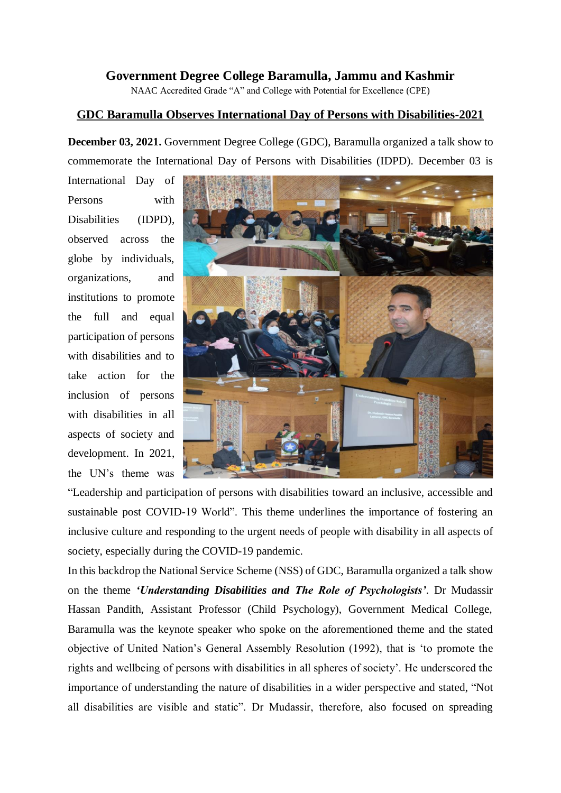## **Government Degree College Baramulla, Jammu and Kashmir**

NAAC Accredited Grade "A" and College with Potential for Excellence (CPE)

## **GDC Baramulla Observes International Day of Persons with Disabilities-2021**

**December 03, 2021.** Government Degree College (GDC), Baramulla organized a talk show to commemorate the International Day of Persons with Disabilities (IDPD). December 03 is

International Day of Persons with Disabilities (IDPD), observed across the globe by individuals, organizations, and institutions to promote the full and equal participation of persons with disabilities and to take action for the inclusion of persons with disabilities in all aspects of society and development. In 2021, the UN's theme was



"Leadership and participation of persons with disabilities toward an inclusive, accessible and sustainable post COVID-19 World". This theme underlines the importance of fostering an inclusive culture and responding to the urgent needs of people with disability in all aspects of society, especially during the COVID-19 pandemic.

In this backdrop the National Service Scheme (NSS) of GDC, Baramulla organized a talk show on the theme *'Understanding Disabilities and The Role of Psychologists'*. Dr Mudassir Hassan Pandith, Assistant Professor (Child Psychology), Government Medical College, Baramulla was the keynote speaker who spoke on the aforementioned theme and the stated objective of United Nation's General Assembly Resolution (1992), that is 'to promote the rights and wellbeing of persons with disabilities in all spheres of society'. He underscored the importance of understanding the nature of disabilities in a wider perspective and stated, "Not all disabilities are visible and static". Dr Mudassir, therefore, also focused on spreading